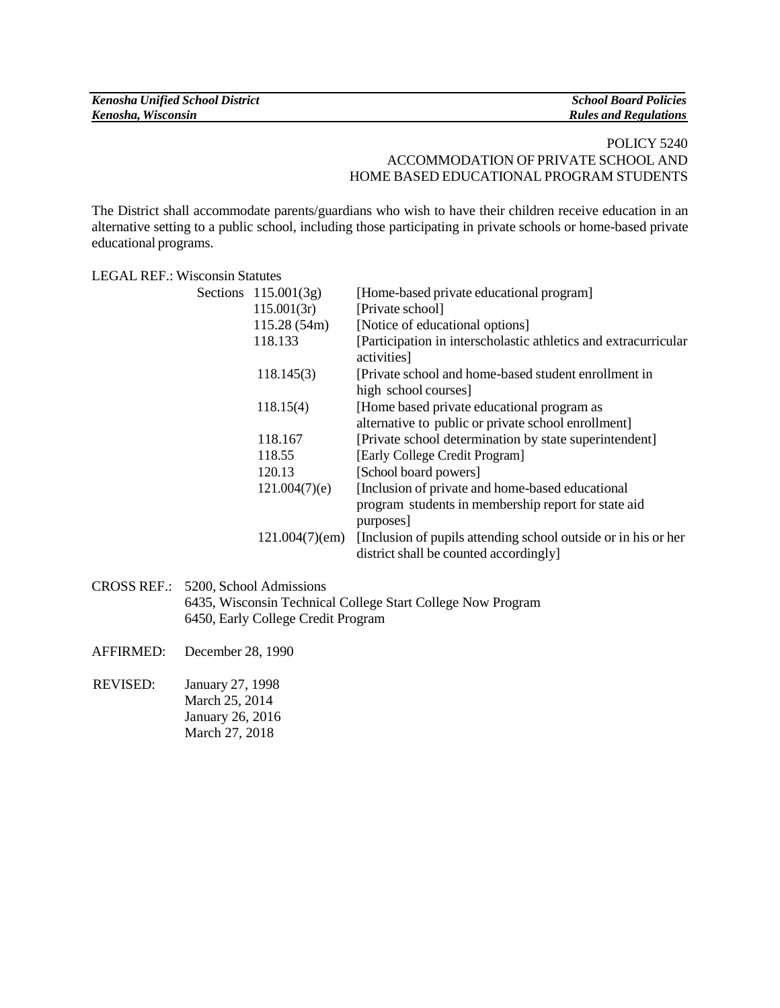| <b>Kenosha Unified School District</b> | <b>School Board Policies</b> |
|----------------------------------------|------------------------------|
| Kenosha, Wisconsin                     | <b>Rules and Regulations</b> |

## POLICY 5240 ACCOMMODATION OF PRIVATE SCHOOL AND HOME BASED EDUCATIONAL PROGRAM STUDENTS

The District shall accommodate parents/guardians who wish to have their children receive education in an alternative setting to a public school, including those participating in private schools or home-based private educational programs.

## LEGAL REF.: Wisconsin Statutes

| Sections $115.001(3g)$ | [Home-based private educational program]                                       |
|------------------------|--------------------------------------------------------------------------------|
| 115.001(3r)            | [Private school]                                                               |
| 115.28(54m)            | [Notice of educational options]                                                |
| 118.133                | [Participation in interscholastic athletics and extracurricular<br>activities] |
| 118.145(3)             | [Private school and home-based student enrollment in                           |
|                        | high school courses]                                                           |
| 118.15(4)              | [Home based private educational program as                                     |
|                        | alternative to public or private school enrollment]                            |
| 118.167                | [Private school determination by state superintendent]                         |
| 118.55                 | [Early College Credit Program]                                                 |
| 120.13                 | [School board powers]                                                          |
| 121.004(7)(e)          | [Inclusion of private and home-based educational]                              |
|                        | program students in membership report for state aid                            |
|                        | purposes]                                                                      |
|                        | 121.004(7)(em) [Inclusion of pupils attending school outside or in his or her  |
|                        | district shall be counted accordingly                                          |

- CROSS REF.: 5200, School Admissions 6435, Wisconsin Technical College Start College Now Program 6450, Early College Credit Program
- AFFIRMED: December 28, 1990
- REVISED: January 27, 1998 March 25, 2014 January 26, 2016 March 27, 2018